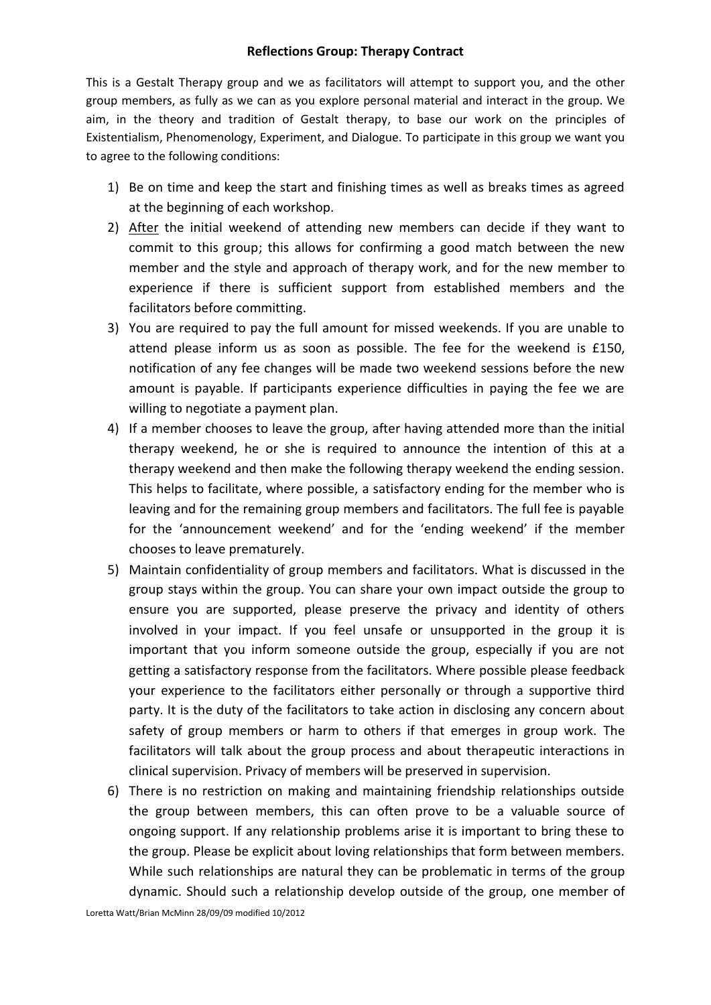## **Reflections Group: Therapy Contract**

This is a Gestalt Therapy group and we as facilitators will attempt to support you, and the other group members, as fully as we can as you explore personal material and interact in the group. We aim, in the theory and tradition of Gestalt therapy, to base our work on the principles of Existentialism, Phenomenology, Experiment, and Dialogue. To participate in this group we want you to agree to the following conditions:

- 1) Be on time and keep the start and finishing times as well as breaks times as agreed at the beginning of each workshop.
- 2) After the initial weekend of attending new members can decide if they want to commit to this group; this allows for confirming a good match between the new member and the style and approach of therapy work, and for the new member to experience if there is sufficient support from established members and the facilitators before committing.
- 3) You are required to pay the full amount for missed weekends. If you are unable to attend please inform us as soon as possible. The fee for the weekend is £150, notification of any fee changes will be made two weekend sessions before the new amount is payable. If participants experience difficulties in paying the fee we are willing to negotiate a payment plan.
- 4) If a member chooses to leave the group, after having attended more than the initial therapy weekend, he or she is required to announce the intention of this at a therapy weekend and then make the following therapy weekend the ending session. This helps to facilitate, where possible, a satisfactory ending for the member who is leaving and for the remaining group members and facilitators. The full fee is payable for the 'announcement weekend' and for the 'ending weekend' if the member chooses to leave prematurely.
- 5) Maintain confidentiality of group members and facilitators. What is discussed in the group stays within the group. You can share your own impact outside the group to ensure you are supported, please preserve the privacy and identity of others involved in your impact. If you feel unsafe or unsupported in the group it is important that you inform someone outside the group, especially if you are not getting a satisfactory response from the facilitators. Where possible please feedback your experience to the facilitators either personally or through a supportive third party. It is the duty of the facilitators to take action in disclosing any concern about safety of group members or harm to others if that emerges in group work. The facilitators will talk about the group process and about therapeutic interactions in clinical supervision. Privacy of members will be preserved in supervision.
- 6) There is no restriction on making and maintaining friendship relationships outside the group between members, this can often prove to be a valuable source of ongoing support. If any relationship problems arise it is important to bring these to the group. Please be explicit about loving relationships that form between members. While such relationships are natural they can be problematic in terms of the group dynamic. Should such a relationship develop outside of the group, one member of